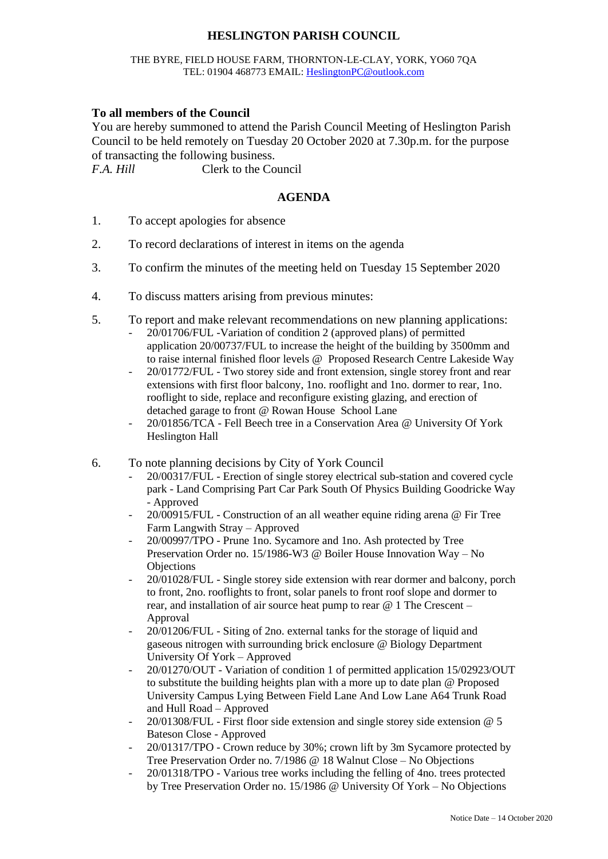## **HESLINGTON PARISH COUNCIL**

## THE BYRE, FIELD HOUSE FARM, THORNTON-LE-CLAY, YORK, YO60 7QA TEL: 01904 468773 EMAIL: [HeslingtonPC@outlook.com](mailto:HeslingtonPC@outlook.com)

## **To all members of the Council**

You are hereby summoned to attend the Parish Council Meeting of Heslington Parish Council to be held remotely on Tuesday 20 October 2020 at 7.30p.m. for the purpose of transacting the following business.

*F.A. Hill* Clerk to the Council

## **AGENDA**

- 1. To accept apologies for absence
- 2. To record declarations of interest in items on the agenda
- 3. To confirm the minutes of the meeting held on Tuesday 15 September 2020
- 4. To discuss matters arising from previous minutes:
- 5. To report and make relevant recommendations on new planning applications:
	- 20/01706/FUL -Variation of condition 2 (approved plans) of permitted application 20/00737/FUL to increase the height of the building by 3500mm and to raise internal finished floor levels @ Proposed Research Centre Lakeside Way
	- 20/01772/FUL Two storey side and front extension, single storey front and rear extensions with first floor balcony, 1no. rooflight and 1no. dormer to rear, 1no. rooflight to side, replace and reconfigure existing glazing, and erection of detached garage to front @ Rowan House School Lane
	- 20/01856/TCA Fell Beech tree in a Conservation Area @ University Of York Heslington Hall
- 6. To note planning decisions by City of York Council
	- 20/00317/FUL Erection of single storey electrical sub-station and covered cycle park - Land Comprising Part Car Park South Of Physics Building Goodricke Way - Approved
	- 20/00915/FUL Construction of an all weather equine riding arena @ Fir Tree Farm Langwith Stray – Approved
	- 20/00997/TPO Prune 1no. Sycamore and 1no. Ash protected by Tree Preservation Order no. 15/1986-W3 @ Boiler House Innovation Way – No **Objections**
	- 20/01028/FUL Single storey side extension with rear dormer and balcony, porch to front, 2no. rooflights to front, solar panels to front roof slope and dormer to rear, and installation of air source heat pump to rear @ 1 The Crescent – Approval
	- 20/01206/FUL Siting of 2no. external tanks for the storage of liquid and gaseous nitrogen with surrounding brick enclosure @ Biology Department University Of York – Approved
	- 20/01270/OUT Variation of condition 1 of permitted application 15/02923/OUT to substitute the building heights plan with a more up to date plan @ Proposed University Campus Lying Between Field Lane And Low Lane A64 Trunk Road and Hull Road – Approved
	- 20/01308/FUL First floor side extension and single storey side extension @ 5 Bateson Close - Approved
	- 20/01317/TPO Crown reduce by 30%; crown lift by 3m Sycamore protected by Tree Preservation Order no. 7/1986 @ 18 Walnut Close – No Objections
	- 20/01318/TPO Various tree works including the felling of 4no. trees protected by Tree Preservation Order no. 15/1986 @ University Of York – No Objections